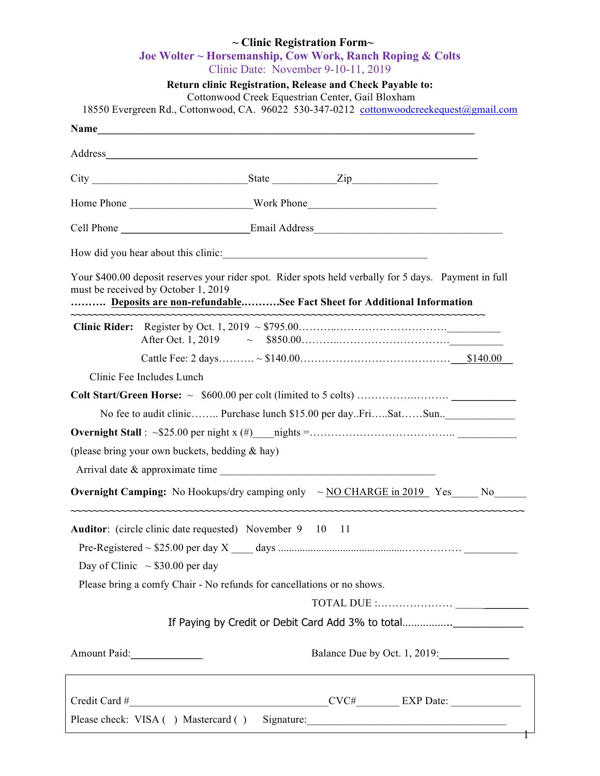| $\sim$ Clinic Registration Form $\sim$<br>Joe Wolter ~ Horsemanship, Cow Work, Ranch Roping & Colts |                                                                                                                                                                                                                               |  |  |  |  |
|-----------------------------------------------------------------------------------------------------|-------------------------------------------------------------------------------------------------------------------------------------------------------------------------------------------------------------------------------|--|--|--|--|
|                                                                                                     | Clinic Date: November 9-10-11, 2019                                                                                                                                                                                           |  |  |  |  |
|                                                                                                     | Return clinic Registration, Release and Check Payable to:<br>Cottonwood Creek Equestrian Center, Gail Bloxham                                                                                                                 |  |  |  |  |
|                                                                                                     | 18550 Evergreen Rd., Cottonwood, CA. 96022 530-347-0212 cottonwoodcreekequest@gmail.com                                                                                                                                       |  |  |  |  |
|                                                                                                     | Name experience and the set of the set of the set of the set of the set of the set of the set of the set of the set of the set of the set of the set of the set of the set of the set of the set of the set of the set of the |  |  |  |  |
|                                                                                                     |                                                                                                                                                                                                                               |  |  |  |  |
|                                                                                                     |                                                                                                                                                                                                                               |  |  |  |  |
|                                                                                                     |                                                                                                                                                                                                                               |  |  |  |  |
|                                                                                                     | Cell Phone ______________________________Email Address___________________________                                                                                                                                             |  |  |  |  |
|                                                                                                     |                                                                                                                                                                                                                               |  |  |  |  |
|                                                                                                     | Your \$400.00 deposit reserves your rider spot. Rider spots held verbally for 5 days. Payment in full<br>must be received by October 1, 2019<br>Deposits are non-refundableSee Fact Sheet for Additional Information          |  |  |  |  |
|                                                                                                     |                                                                                                                                                                                                                               |  |  |  |  |
|                                                                                                     |                                                                                                                                                                                                                               |  |  |  |  |
|                                                                                                     | Clinic Fee Includes Lunch                                                                                                                                                                                                     |  |  |  |  |
|                                                                                                     |                                                                                                                                                                                                                               |  |  |  |  |
|                                                                                                     | No fee to audit clinic Purchase lunch \$15.00 per dayFriSatSun_______________                                                                                                                                                 |  |  |  |  |
|                                                                                                     |                                                                                                                                                                                                                               |  |  |  |  |
|                                                                                                     | (please bring your own buckets, bedding & hay)                                                                                                                                                                                |  |  |  |  |
|                                                                                                     | Arrival date & approximate time                                                                                                                                                                                               |  |  |  |  |
| <b>Overnight Camping:</b> No Hookups/dry camping only $\sim$ NO CHARGE in 2019 Yes No               |                                                                                                                                                                                                                               |  |  |  |  |
|                                                                                                     | Auditor: (circle clinic date requested) November 9 10 11                                                                                                                                                                      |  |  |  |  |
|                                                                                                     |                                                                                                                                                                                                                               |  |  |  |  |
|                                                                                                     | Day of Clinic $\sim$ \$30.00 per day                                                                                                                                                                                          |  |  |  |  |
|                                                                                                     | Please bring a comfy Chair - No refunds for cancellations or no shows.                                                                                                                                                        |  |  |  |  |
|                                                                                                     |                                                                                                                                                                                                                               |  |  |  |  |
|                                                                                                     |                                                                                                                                                                                                                               |  |  |  |  |
| Amount Paid:                                                                                        | Balance Due by Oct. 1, 2019:                                                                                                                                                                                                  |  |  |  |  |
|                                                                                                     |                                                                                                                                                                                                                               |  |  |  |  |
| Please check: VISA ( ) Mastercard ( ) Signature: ________________________________                   |                                                                                                                                                                                                                               |  |  |  |  |

┱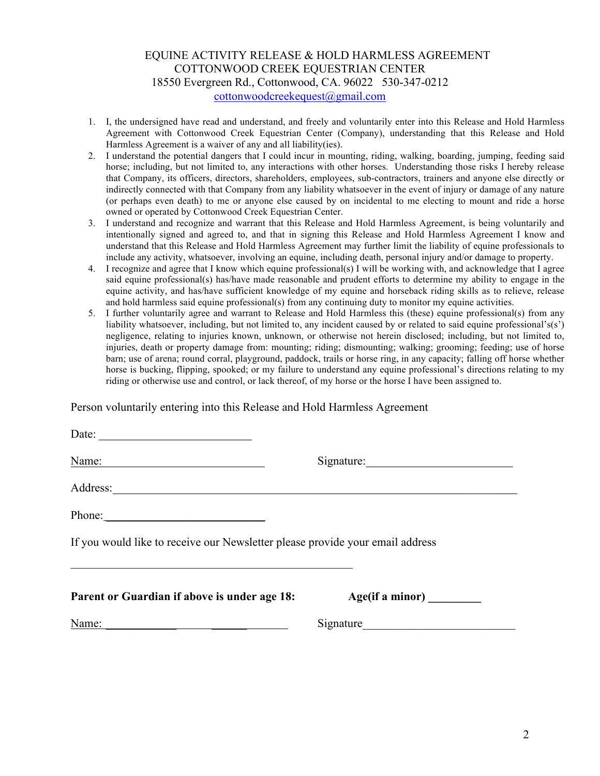### EQUINE ACTIVITY RELEASE & HOLD HARMLESS AGREEMENT COTTONWOOD CREEK EQUESTRIAN CENTER 18550 Evergreen Rd., Cottonwood, CA. 96022 530-347-0212 cottonwoodcreekequest@gmail.com

- 1. I, the undersigned have read and understand, and freely and voluntarily enter into this Release and Hold Harmless Agreement with Cottonwood Creek Equestrian Center (Company), understanding that this Release and Hold Harmless Agreement is a waiver of any and all liability(ies).
- 2. I understand the potential dangers that I could incur in mounting, riding, walking, boarding, jumping, feeding said horse; including, but not limited to, any interactions with other horses. Understanding those risks I hereby release that Company, its officers, directors, shareholders, employees, sub-contractors, trainers and anyone else directly or indirectly connected with that Company from any liability whatsoever in the event of injury or damage of any nature (or perhaps even death) to me or anyone else caused by on incidental to me electing to mount and ride a horse owned or operated by Cottonwood Creek Equestrian Center.
- 3. I understand and recognize and warrant that this Release and Hold Harmless Agreement, is being voluntarily and intentionally signed and agreed to, and that in signing this Release and Hold Harmless Agreement I know and understand that this Release and Hold Harmless Agreement may further limit the liability of equine professionals to include any activity, whatsoever, involving an equine, including death, personal injury and/or damage to property.
- 4. I recognize and agree that I know which equine professional(s) I will be working with, and acknowledge that I agree said equine professional(s) has/have made reasonable and prudent efforts to determine my ability to engage in the equine activity, and has/have sufficient knowledge of my equine and horseback riding skills as to relieve, release and hold harmless said equine professional(s) from any continuing duty to monitor my equine activities.
- 5. I further voluntarily agree and warrant to Release and Hold Harmless this (these) equine professional(s) from any liability whatsoever, including, but not limited to, any incident caused by or related to said equine professional's(s') negligence, relating to injuries known, unknown, or otherwise not herein disclosed; including, but not limited to, injuries, death or property damage from: mounting; riding; dismounting; walking; grooming; feeding; use of horse barn; use of arena; round corral, playground, paddock, trails or horse ring, in any capacity; falling off horse whether horse is bucking, flipping, spooked; or my failure to understand any equine professional's directions relating to my riding or otherwise use and control, or lack thereof, of my horse or the horse I have been assigned to.

Person voluntarily entering into this Release and Hold Harmless Agreement

| Name:                                                                         |                 |  |
|-------------------------------------------------------------------------------|-----------------|--|
|                                                                               |                 |  |
| Phone:                                                                        |                 |  |
| If you would like to receive our Newsletter please provide your email address |                 |  |
| Parent or Guardian if above is under age 18:                                  | Age(if a minor) |  |
| Name:<br><u> 1989 - John Stein, mars and de Brazilian (b. 1989)</u>           | Signature       |  |
|                                                                               |                 |  |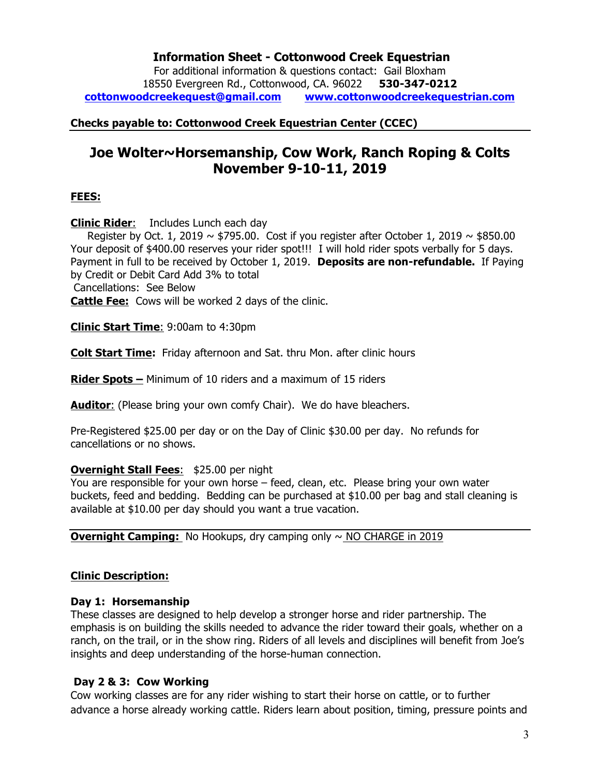# **Information Sheet - Cottonwood Creek Equestrian**

For additional information & questions contact: Gail Bloxham 18550 Evergreen Rd., Cottonwood, CA. 96022 **530-347-0212 cottonwoodcreekequest@gmail.com www.cottonwoodcreekequestrian.com**

**Checks payable to: Cottonwood Creek Equestrian Center (CCEC)**

# **Joe Wolter~Horsemanship, Cow Work, Ranch Roping & Colts November 9-10-11, 2019**

### **FEES:**

**Clinic Rider**: Includes Lunch each day

Register by Oct. 1, 2019  $\sim$  \$795.00. Cost if you register after October 1, 2019  $\sim$  \$850.00 Your deposit of \$400.00 reserves your rider spot!!! I will hold rider spots verbally for 5 days. Payment in full to be received by October 1, 2019. **Deposits are non-refundable.** If Paying by Credit or Debit Card Add 3% to total

Cancellations: See Below

**Cattle Fee:** Cows will be worked 2 days of the clinic.

**Clinic Start Time**: 9:00am to 4:30pm

**Colt Start Time:** Friday afternoon and Sat. thru Mon. after clinic hours

**Rider Spots –** Minimum of 10 riders and a maximum of 15 riders

**Auditor**: (Please bring your own comfy Chair). We do have bleachers.

Pre-Registered \$25.00 per day or on the Day of Clinic \$30.00 per day. No refunds for cancellations or no shows.

### **Overnight Stall Fees**: \$25.00 per night

You are responsible for your own horse – feed, clean, etc. Please bring your own water buckets, feed and bedding. Bedding can be purchased at \$10.00 per bag and stall cleaning is available at \$10.00 per day should you want a true vacation.

**Overnight Camping:** No Hookups, dry camping only ~ NO CHARGE in 2019

# **Clinic Description:**

### **Day 1: Horsemanship**

These classes are designed to help develop a stronger horse and rider partnership. The emphasis is on building the skills needed to advance the rider toward their goals, whether on a ranch, on the trail, or in the show ring. Riders of all levels and disciplines will benefit from Joe's insights and deep understanding of the horse-human connection.

# **Day 2 & 3: Cow Working**

Cow working classes are for any rider wishing to start their horse on cattle, or to further advance a horse already working cattle. Riders learn about position, timing, pressure points and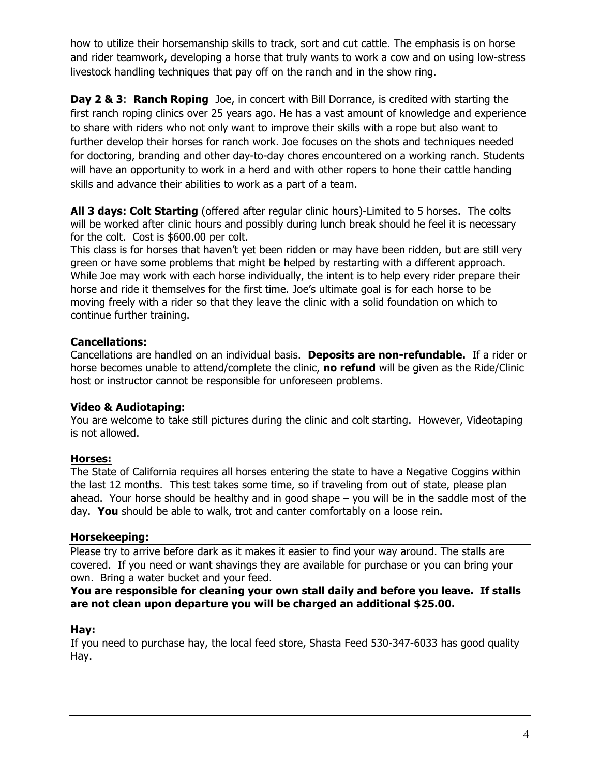how to utilize their horsemanship skills to track, sort and cut cattle. The emphasis is on horse and rider teamwork, developing a horse that truly wants to work a cow and on using low-stress livestock handling techniques that pay off on the ranch and in the show ring.

**Day 2 & 3: Ranch Roping** Joe, in concert with Bill Dorrance, is credited with starting the first ranch roping clinics over 25 years ago. He has a vast amount of knowledge and experience to share with riders who not only want to improve their skills with a rope but also want to further develop their horses for ranch work. Joe focuses on the shots and techniques needed for doctoring, branding and other day-to-day chores encountered on a working ranch. Students will have an opportunity to work in a herd and with other ropers to hone their cattle handing skills and advance their abilities to work as a part of a team.

**All 3 days: Colt Starting** (offered after regular clinic hours)-Limited to 5 horses. The colts will be worked after clinic hours and possibly during lunch break should he feel it is necessary for the colt. Cost is \$600.00 per colt.

This class is for horses that haven't yet been ridden or may have been ridden, but are still very green or have some problems that might be helped by restarting with a different approach. While Joe may work with each horse individually, the intent is to help every rider prepare their horse and ride it themselves for the first time. Joe's ultimate goal is for each horse to be moving freely with a rider so that they leave the clinic with a solid foundation on which to continue further training.

# **Cancellations:**

Cancellations are handled on an individual basis. **Deposits are non-refundable.** If a rider or horse becomes unable to attend/complete the clinic, **no refund** will be given as the Ride/Clinic host or instructor cannot be responsible for unforeseen problems.

# **Video & Audiotaping:**

You are welcome to take still pictures during the clinic and colt starting. However, Videotaping is not allowed.

# **Horses:**

The State of California requires all horses entering the state to have a Negative Coggins within the last 12 months. This test takes some time, so if traveling from out of state, please plan ahead. Your horse should be healthy and in good shape – you will be in the saddle most of the day. **You** should be able to walk, trot and canter comfortably on a loose rein.

# **Horsekeeping:**

Please try to arrive before dark as it makes it easier to find your way around. The stalls are covered. If you need or want shavings they are available for purchase or you can bring your own. Bring a water bucket and your feed.

**You are responsible for cleaning your own stall daily and before you leave. If stalls are not clean upon departure you will be charged an additional \$25.00.** 

# **Hay:**

If you need to purchase hay, the local feed store, Shasta Feed 530-347-6033 has good quality Hay.